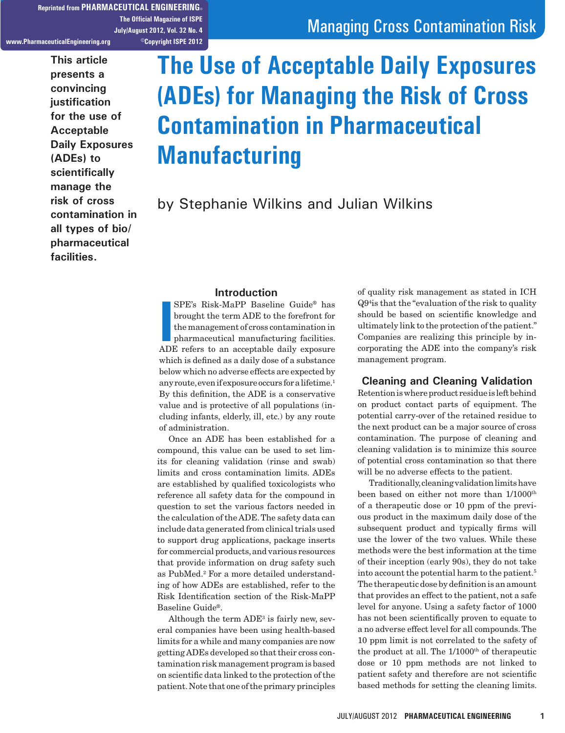**Reprinted from PHARMACEUTICAL ENGINEERING® The Official Magazine of ISPE July/August 2012, Vol. 32 No. 4 www.PharmaceuticalEngineering.org ©Copyright ISPE 2012**

> **This article presents a convincing justification for the use of Acceptable Daily Exposures (ADEs) to scientifically manage the risk of cross contamination in all types of bio/ pharmaceutical facilities.**

# Managing Cross Contamination Risk

# **The Use of Acceptable Daily Exposures (ADEs) for Managing the Risk of Cross Contamination in Pharmaceutical Manufacturing**

by Stephanie Wilkins and Julian Wilkins

#### **Introduction**

**III** SPE's Risk-MaPP Baseline Guide<sup>®</sup> has<br>brought the term ADE to the forefront for<br>the management of cross contamination in<br>pharmaceutical manufacturing facilities.<br>ADE refers to an acceptable daily exposure SPE's Risk-MaPP Baseline Guide® has brought the term ADE to the forefront for the management of cross contamination in pharmaceutical manufacturing facilities. which is defined as a daily dose of a substance below which no adverse effects are expected by any route, even if exposure occurs for a lifetime.<sup>1</sup> By this definition, the ADE is a conservative value and is protective of all populations (including infants, elderly, ill, etc.) by any route of administration.

Once an ADE has been established for a compound, this value can be used to set limits for cleaning validation (rinse and swab) limits and cross contamination limits. ADEs are established by qualified toxicologists who reference all safety data for the compound in question to set the various factors needed in the calculation of the ADE. The safety data can include data generated from clinical trials used to support drug applications, package inserts for commercial products, and various resources that provide information on drug safety such as PubMed.<sup>2</sup> For a more detailed understanding of how ADEs are established, refer to the Risk Identification section of the Risk-MaPP Baseline Guide®.

Although the term  $ADE^3$  is fairly new, several companies have been using health-based limits for a while and many companies are now getting ADEs developed so that their cross contamination risk management program is based on scientific data linked to the protection of the patient. Note that one of the primary principles

of quality risk management as stated in ICH Q94 is that the "evaluation of the risk to quality should be based on scientific knowledge and ultimately link to the protection of the patient." Companies are realizing this principle by incorporating the ADE into the company's risk management program.

## **Cleaning and Cleaning Validation**

Retention is where product residue is left behind on product contact parts of equipment. The potential carry-over of the retained residue to the next product can be a major source of cross contamination. The purpose of cleaning and cleaning validation is to minimize this source of potential cross contamination so that there will be no adverse effects to the patient.

Traditionally, cleaning validation limits have been based on either not more than  $1/1000^{\text{th}}$ of a therapeutic dose or 10 ppm of the previous product in the maximum daily dose of the subsequent product and typically firms will use the lower of the two values. While these methods were the best information at the time of their inception (early 90s), they do not take into account the potential harm to the patient.5 The therapeutic dose by definition is an amount that provides an effect to the patient, not a safe level for anyone. Using a safety factor of 1000 has not been scientifically proven to equate to a no adverse effect level for all compounds. The 10 ppm limit is not correlated to the safety of the product at all. The  $1/1000<sup>th</sup>$  of therapeutic dose or 10 ppm methods are not linked to patient safety and therefore are not scientific based methods for setting the cleaning limits.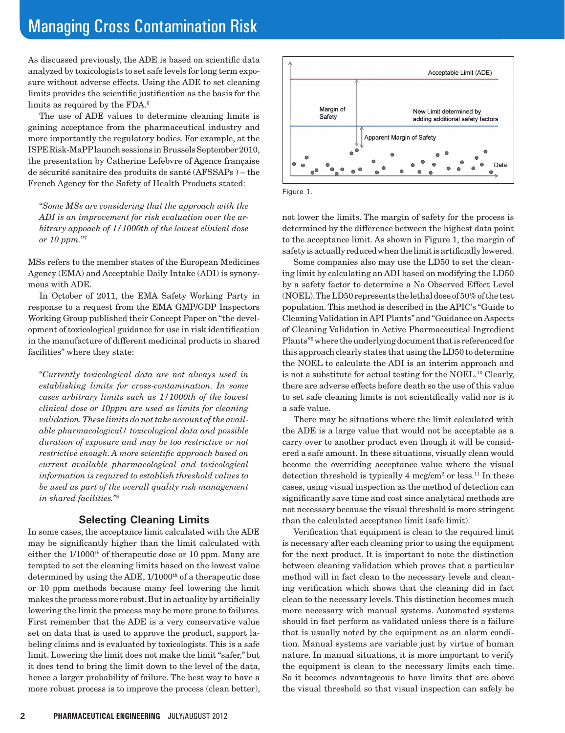# Managing Cross Contamination Risk

As discussed previously, the ADE is based on scientific data analyzed by toxicologists to set safe levels for long term exposure without adverse effects. Using the ADE to set cleaning limits provides the scientific justification as the basis for the limits as required by the FDA.6

The use of ADE values to determine cleaning limits is gaining acceptance from the pharmaceutical industry and more importantly the regulatory bodies. For example, at the ISPE Risk-MaPP launch sessions in Brussels September 2010, the presentation by Catherine Lefebvre of Agence française de sécurité sanitaire des produits de santé (AFSSAPs ) – the French Agency for the Safety of Health Products stated:

"*Some MSs are considering that the approach with the ADI is an improvement for risk evaluation over the arbitrary appoach of 1/1000th of the lowest clinical dose or 10 ppm.*"7

MSs refers to the member states of the European Medicines Agency (EMA) and Acceptable Daily Intake (ADI) is synonymous with ADE.

In October of 2011, the EMA Safety Working Party in response to a request from the EMA GMP/GDP Inspectors Working Group published their Concept Paper on "the development of toxicological guidance for use in risk identification in the manufacture of different medicinal products in shared facilities" where they state:

"*Currently toxicological data are not always used in establishing limits for cross-contamination. In some cases arbitrary limits such as 1/1000th of the lowest clinical dose or 10ppm are used as limits for cleaning validation. These limits do not take account of the available pharmacological/ toxicological data and possible duration of exposure and may be too restrictive or not restrictive enough. A more scientific approach based on current available pharmacological and toxicological information is required to establish threshold values to be used as part of the overall quality risk management in shared facilities."*<sup>8</sup>

# **Selecting Cleaning Limits**

In some cases, the acceptance limit calculated with the ADE may be significantly higher than the limit calculated with either the 1/1000<sup>th</sup> of therapeutic dose or 10 ppm. Many are tempted to set the cleaning limits based on the lowest value determined by using the ADE, 1/1000<sup>th</sup> of a therapeutic dose or 10 ppm methods because many feel lowering the limit makes the process more robust. But in actuality by artificially lowering the limit the process may be more prone to failures. First remember that the ADE is a very conservative value set on data that is used to approve the product, support labeling claims and is evaluated by toxicologists. This is a safe limit. Lowering the limit does not make the limit "safer," but it does tend to bring the limit down to the level of the data, hence a larger probability of failure. The best way to have a more robust process is to improve the process (clean better),





not lower the limits. The margin of safety for the process is determined by the difference between the highest data point to the acceptance limit. As shown in Figure 1, the margin of safety is actually reduced when the limit is artificially lowered.

Some companies also may use the LD50 to set the cleaning limit by calculating an ADI based on modifying the LD50 by a safety factor to determine a No Observed Effect Level (NOEL). The LD50 represents the lethal dose of 50% of the test population. This method is described in the APIC's "Guide to Cleaning Validation in API Plants" and "Guidance on Aspects of Cleaning Validation in Active Pharmaceutical Ingredient Plants"9 where the underlying document that is referenced for this approach clearly states that using the LD50 to determine the NOEL to calculate the ADI is an interim approach and is not a substitute for actual testing for the NOEL.10 Clearly, there are adverse effects before death so the use of this value to set safe cleaning limits is not scientifically valid nor is it a safe value.

There may be situations where the limit calculated with the ADE is a large value that would not be acceptable as a carry over to another product even though it will be considered a safe amount. In these situations, visually clean would become the overriding acceptance value where the visual detection threshold is typically 4 mcg/cm<sup>2</sup> or less.<sup>11</sup> In these cases, using visual inspection as the method of detection can significantly save time and cost since analytical methods are not necessary because the visual threshold is more stringent than the calculated acceptance limit (safe limit).

Verification that equipment is clean to the required limit is necessary after each cleaning prior to using the equipment for the next product. It is important to note the distinction between cleaning validation which proves that a particular method will in fact clean to the necessary levels and cleaning verification which shows that the cleaning did in fact clean to the necessary levels. This distinction becomes much more necessary with manual systems. Automated systems should in fact perform as validated unless there is a failure that is usually noted by the equipment as an alarm condition. Manual systems are variable just by virtue of human nature. In manual situations, it is more important to verify the equipment is clean to the necessary limits each time. So it becomes advantageous to have limits that are above the visual threshold so that visual inspection can safely be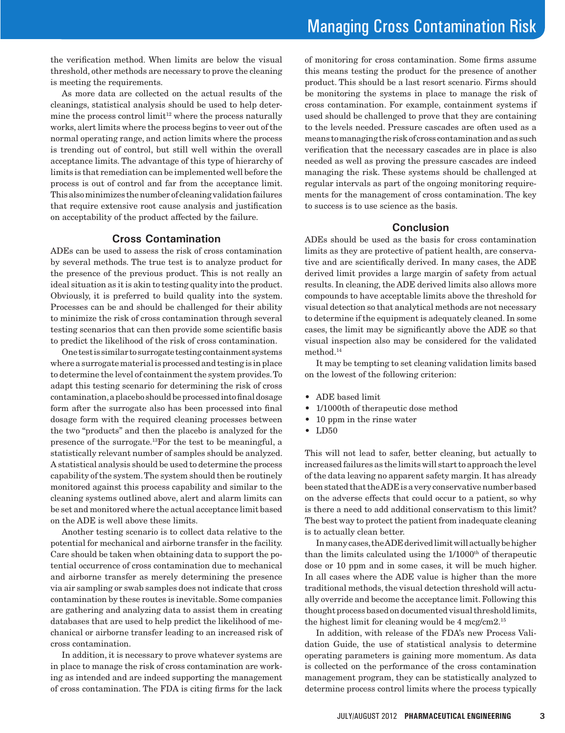the verification method. When limits are below the visual threshold, other methods are necessary to prove the cleaning is meeting the requirements.

As more data are collected on the actual results of the cleanings, statistical analysis should be used to help determine the process control limit $12$  where the process naturally works, alert limits where the process begins to veer out of the normal operating range, and action limits where the process is trending out of control, but still well within the overall acceptance limits. The advantage of this type of hierarchy of limits is that remediation can be implemented well before the process is out of control and far from the acceptance limit. This also minimizes the number of cleaning validation failures that require extensive root cause analysis and justification on acceptability of the product affected by the failure.

### **Cross Contamination**

ADEs can be used to assess the risk of cross contamination by several methods. The true test is to analyze product for the presence of the previous product. This is not really an ideal situation as it is akin to testing quality into the product. Obviously, it is preferred to build quality into the system. Processes can be and should be challenged for their ability to minimize the risk of cross contamination through several testing scenarios that can then provide some scientific basis to predict the likelihood of the risk of cross contamination.

One test is similar to surrogate testing containment systems where a surrogate material is processed and testing is in place to determine the level of containment the system provides. To adapt this testing scenario for determining the risk of cross contamination, a placebo should be processed into final dosage form after the surrogate also has been processed into final dosage form with the required cleaning processes between the two "products" and then the placebo is analyzed for the presence of the surrogate.13For the test to be meaningful, a statistically relevant number of samples should be analyzed. A statistical analysis should be used to determine the process capability of the system. The system should then be routinely monitored against this process capability and similar to the cleaning systems outlined above, alert and alarm limits can be set and monitored where the actual acceptance limit based on the ADE is well above these limits.

Another testing scenario is to collect data relative to the potential for mechanical and airborne transfer in the facility. Care should be taken when obtaining data to support the potential occurrence of cross contamination due to mechanical and airborne transfer as merely determining the presence via air sampling or swab samples does not indicate that cross contamination by these routes is inevitable. Some companies are gathering and analyzing data to assist them in creating databases that are used to help predict the likelihood of mechanical or airborne transfer leading to an increased risk of cross contamination.

In addition, it is necessary to prove whatever systems are in place to manage the risk of cross contamination are working as intended and are indeed supporting the management of cross contamination. The FDA is citing firms for the lack

of monitoring for cross contamination. Some firms assume this means testing the product for the presence of another product. This should be a last resort scenario. Firms should be monitoring the systems in place to manage the risk of cross contamination. For example, containment systems if used should be challenged to prove that they are containing to the levels needed. Pressure cascades are often used as a means to managing the risk of cross contamination and as such verification that the necessary cascades are in place is also needed as well as proving the pressure cascades are indeed managing the risk. These systems should be challenged at regular intervals as part of the ongoing monitoring requirements for the management of cross contamination. The key to success is to use science as the basis.

## **Conclusion**

ADEs should be used as the basis for cross contamination limits as they are protective of patient health, are conservative and are scientifically derived. In many cases, the ADE derived limit provides a large margin of safety from actual results. In cleaning, the ADE derived limits also allows more compounds to have acceptable limits above the threshold for visual detection so that analytical methods are not necessary to determine if the equipment is adequately cleaned. In some cases, the limit may be significantly above the ADE so that visual inspection also may be considered for the validated method.14

It may be tempting to set cleaning validation limits based on the lowest of the following criterion:

- ADE based limit
- • 1/1000th of therapeutic dose method
- 10 ppm in the rinse water
- LD50

This will not lead to safer, better cleaning, but actually to increased failures as the limits will start to approach the level of the data leaving no apparent safety margin. It has already been stated that the ADE is a very conservative number based on the adverse effects that could occur to a patient, so why is there a need to add additional conservatism to this limit? The best way to protect the patient from inadequate cleaning is to actually clean better.

In many cases, the ADE derived limit will actually be higher than the limits calculated using the  $1/1000<sup>th</sup>$  of therapeutic dose or 10 ppm and in some cases, it will be much higher. In all cases where the ADE value is higher than the more traditional methods, the visual detection threshold will actually override and become the acceptance limit. Following this thought process based on documented visual threshold limits, the highest limit for cleaning would be 4 mcg/cm2.15

In addition, with release of the FDA's new Process Validation Guide, the use of statistical analysis to determine operating parameters is gaining more momentum. As data is collected on the performance of the cross contamination management program, they can be statistically analyzed to determine process control limits where the process typically